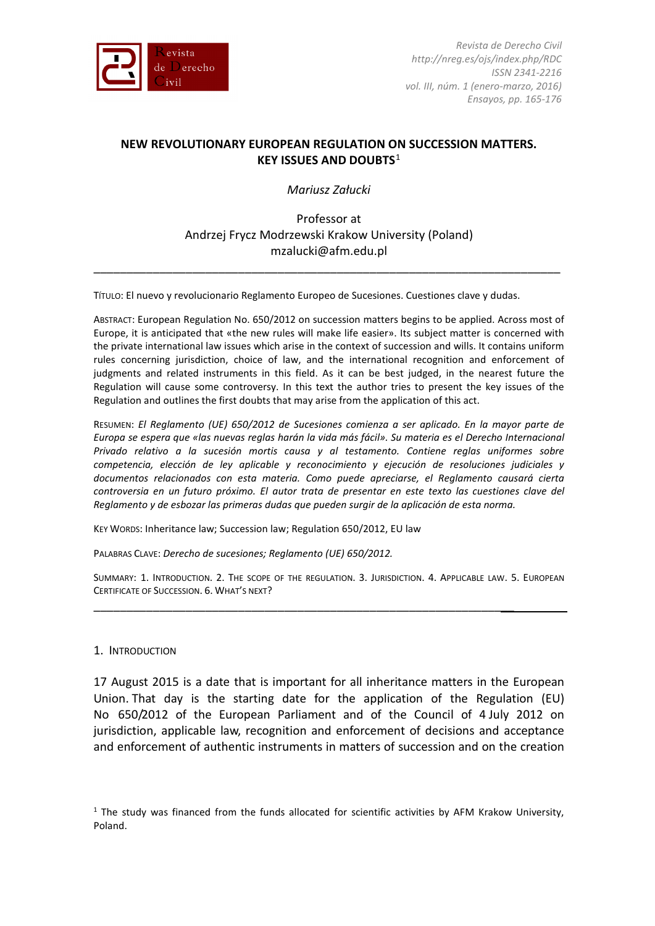

# **NEW REVOLUTIONARY EUROPEAN REGULATION ON SUCCESSION MATTERS. KEY ISSUES AND DOUBTS**[1](#page-0-0)

*Mariusz Załucki*

Professor at Andrzej Frycz Modrzewski Krakow University (Poland) mzalucki@afm.edu.pl

\_\_\_\_\_\_\_\_\_\_\_\_\_\_\_\_\_\_\_\_\_\_\_\_\_\_\_\_\_\_\_\_\_\_\_\_\_\_\_\_\_\_\_\_\_\_\_\_\_\_\_\_\_\_\_\_\_\_\_\_\_\_\_\_\_\_\_\_\_\_\_

TÍTULO: El nuevo y revolucionario Reglamento Europeo de Sucesiones. Cuestiones clave y dudas.

ABSTRACT: European Regulation No. 650/2012 on succession matters begins to be applied. Across most of Europe, it is anticipated that «the new rules will make life easier». Its subject matter is concerned with the private international law issues which arise in the context of succession and wills. It contains uniform rules concerning jurisdiction, choice of law, and the international recognition and enforcement of judgments and related instruments in this field. As it can be best judged, in the nearest future the Regulation will cause some controversy. In this text the author tries to present the key issues of the Regulation and outlines the first doubts that may arise from the application of this act.

RESUMEN: *El Reglamento (UE) 650/2012 de Sucesiones comienza a ser aplicado. En la mayor parte de Europa se espera que «las nuevas reglas harán la vida más fácil». Su materia es el Derecho Internacional Privado relativo a la sucesión mortis causa y al testamento. Contiene reglas uniformes sobre competencia, elección de ley aplicable y reconocimiento y ejecución de resoluciones judiciales y documentos relacionados con esta materia. Como puede apreciarse, el Reglamento causará cierta controversia en un futuro próximo. El autor trata de presentar en este texto las cuestiones clave del Reglamento y de esbozar las primeras dudas que pueden surgir de la aplicación de esta norma.*

KEY WORDS: Inheritance law; Succession law; Regulation 650/2012, EU law

PALABRAS CLAVE: *Derecho de sucesiones; Reglamento (UE) 650/2012.* 

SUMMARY: 1. INTRODUCTION. 2. THE SCOPE OF THE REGULATION. 3. JURISDICTION. 4. APPLICABLE LAW. 5. EUROPEAN CERTIFICATE OF SUCCESSION. 6. WHAT'S NEXT?

\_\_\_\_\_\_\_\_\_\_\_\_\_\_\_\_\_\_\_\_\_\_\_\_\_\_\_\_\_\_\_\_\_\_\_\_\_\_\_\_\_\_\_\_\_\_\_\_\_\_\_\_\_\_\_\_\_\_\_\_\_\_\_\_

## 1. INTRODUCTION

17 August 2015 is a date that is important for all inheritance matters in the European Union. That day is the starting date for the application of the Regulation (EU) No 650/2012 of the European Parliament and of the Council of 4 July 2012 on jurisdiction, applicable law, recognition and enforcement of decisions and acceptance and enforcement of authentic instruments in matters of succession and on the creation

<span id="page-0-0"></span> $<sup>1</sup>$  The study was financed from the funds allocated for scientific activities by AFM Krakow University,</sup> Poland.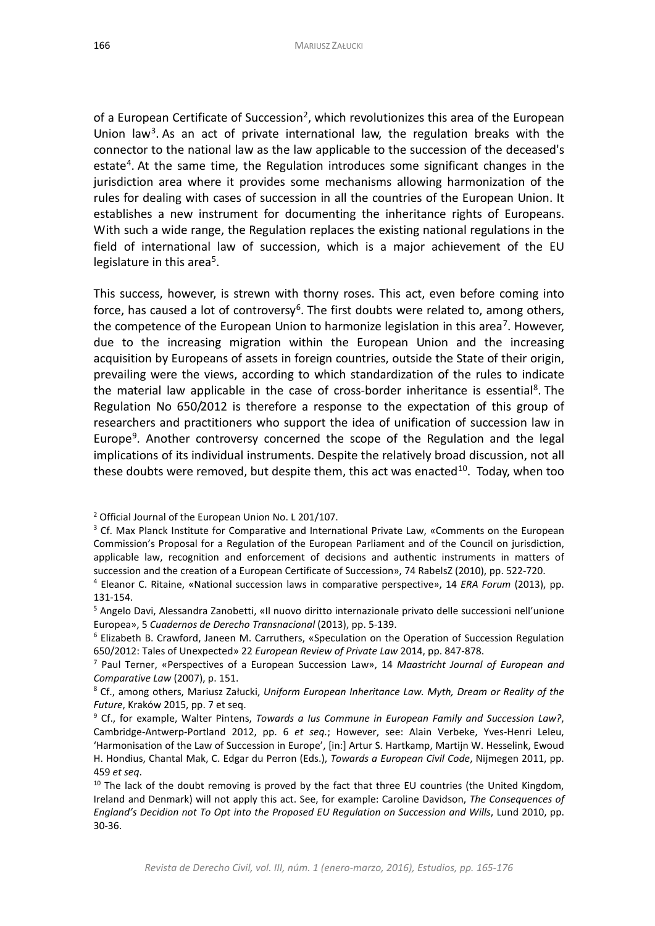of a European Certificate of Succession<sup>[2](#page-1-0)</sup>, which revolutionizes this area of the European Union law<sup>3</sup>. As an act of private international law, the regulation breaks with the connector to the national law as the law applicable to the succession of the deceased's estate<sup>[4](#page-1-2)</sup>. At the same time, the Regulation introduces some significant changes in the jurisdiction area where it provides some mechanisms allowing harmonization of the rules for dealing with cases of succession in all the countries of the European Union. It establishes a new instrument for documenting the inheritance rights of Europeans. With such a wide range, the Regulation replaces the existing national regulations in the field of international law of succession, which is a major achievement of the EU legislature in this area<sup>5</sup>.

This success, however, is strewn with thorny roses. This act, even before coming into force, has caused a lot of controversy<sup>[6](#page-1-4)</sup>. The first doubts were related to, among others, the competence of the European Union to harmonize legislation in this area<sup>[7](#page-1-5)</sup>. However, due to the increasing migration within the European Union and the increasing acquisition by Europeans of assets in foreign countries, outside the State of their origin, prevailing were the views, according to which standardization of the rules to indicate the material law applicable in the case of cross-border inheritance is essential<sup>[8](#page-1-6)</sup>. The Regulation No 650/2012 is therefore a response to the expectation of this group of researchers and practitioners who support the idea of unification of succession law in Europe<sup>[9](#page-1-7)</sup>. Another controversy concerned the scope of the Regulation and the legal implications of its individual instruments. Despite the relatively broad discussion, not all these doubts were removed, but despite them, this act was enacted $^{10}$ . Today, when too

<span id="page-1-0"></span><sup>2</sup> Official Journal of the European Union No. L 201/107.

<span id="page-1-1"></span><sup>&</sup>lt;sup>3</sup> Cf. Max Planck Institute for Comparative and International Private Law, «Comments on the European Commission's Proposal for a Regulation of the European Parliament and of the Council on jurisdiction, applicable law, recognition and enforcement of decisions and authentic instruments in matters of succession and the creation of a European Certificate of Succession», 74 RabelsZ (2010), pp. 522-720.

<span id="page-1-2"></span><sup>4</sup> Eleanor C. Ritaine, «National succession laws in comparative perspective», 14 *ERA Forum* (2013), pp. 131-154.

<span id="page-1-3"></span><sup>5</sup> Angelo Davi, Alessandra Zanobetti, «Il nuovo diritto internazionale privato delle successioni nell'unione Europea», 5 *Cuadernos de Derecho Transnacional* (2013), pp. 5-139.

<span id="page-1-4"></span><sup>6</sup> Elizabeth B. Crawford, Janeen M. Carruthers, «Speculation on the Operation of Succession Regulation 650/2012: Tales of Unexpected» 22 *European Review of Private Law* 2014, pp. 847-878.

<span id="page-1-5"></span><sup>7</sup> Paul Terner, «Perspectives of a European Succession Law», 14 *Maastricht Journal of European and Comparative Law* (2007), p. 151.

<span id="page-1-6"></span><sup>8</sup> Cf., among others, Mariusz Załucki, *Uniform European Inheritance Law. Myth, Dream or Reality of the Future*, Kraków 2015, pp. 7 et seq.

<span id="page-1-7"></span><sup>9</sup> Cf., for example, Walter Pintens, *Towards a Ius Commune in European Family and Succession Law?*, Cambridge-Antwerp-Portland 2012, pp. 6 *et seq.*; However, see: Alain Verbeke, Yves-Henri Leleu, 'Harmonisation of the Law of Succession in Europe', [in:] Artur S. Hartkamp, Martijn W. Hesselink, Ewoud H. Hondius, Chantal Mak, C. Edgar du Perron (Eds.), *Towards a European Civil Code*, Nijmegen 2011, pp. 459 *et seq*.

<span id="page-1-8"></span> $10$  The lack of the doubt removing is proved by the fact that three EU countries (the United Kingdom, Ireland and Denmark) will not apply this act. See, for example: Caroline Davidson, *The Consequences of England's Decidion not To Opt into the Proposed EU Regulation on Succession and Wills*, Lund 2010, pp. 30-36.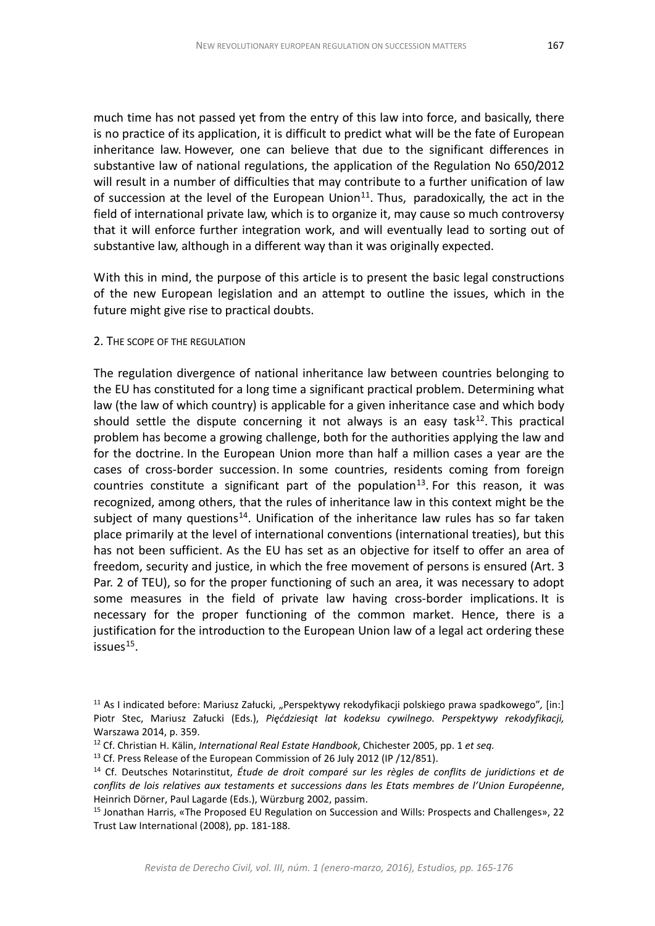much time has not passed yet from the entry of this law into force, and basically, there is no practice of its application, it is difficult to predict what will be the fate of European inheritance law. However, one can believe that due to the significant differences in substantive law of national regulations, the application of the Regulation No 650/2012 will result in a number of difficulties that may contribute to a further unification of law of succession at the level of the European Union $11$ . Thus, paradoxically, the act in the field of international private law, which is to organize it, may cause so much controversy that it will enforce further integration work, and will eventually lead to sorting out of substantive law, although in a different way than it was originally expected.

With this in mind, the purpose of this article is to present the basic legal constructions of the new European legislation and an attempt to outline the issues, which in the future might give rise to practical doubts.

#### 2. THE SCOPE OF THE REGULATION

The regulation divergence of national inheritance law between countries belonging to the EU has constituted for a long time a significant practical problem. Determining what law (the law of which country) is applicable for a given inheritance case and which body should settle the dispute concerning it not always is an easy task<sup>12</sup>. This practical problem has become a growing challenge, both for the authorities applying the law and for the doctrine. In the European Union more than half a million cases a year are the cases of cross-border succession. In some countries, residents coming from foreign countries constitute a significant part of the population<sup>[13](#page-2-2)</sup>. For this reason, it was recognized, among others, that the rules of inheritance law in this context might be the subject of many questions<sup>[14](#page-2-3)</sup>. Unification of the inheritance law rules has so far taken place primarily at the level of international conventions (international treaties), but this has not been sufficient. As the EU has set as an objective for itself to offer an area of freedom, security and justice, in which the free movement of persons is ensured (Art. 3 Par. 2 of TEU), so for the proper functioning of such an area, it was necessary to adopt some measures in the field of private law having cross-border implications. It is necessary for the proper functioning of the common market. Hence, there is a justification for the introduction to the European Union law of a legal act ordering these  $issues<sup>15</sup>$ .

<span id="page-2-0"></span><sup>11</sup> As I indicated before: Mariusz Załucki, "Perspektywy rekodyfikacji polskiego prawa spadkowego"*,* [in:] Piotr Stec, Mariusz Załucki (Eds.), *Pięćdziesiąt lat kodeksu cywilnego. Perspektywy rekodyfikacji,* Warszawa 2014, p. 359.

<span id="page-2-1"></span><sup>12</sup> Cf. Christian H. Kälin, *International Real Estate Handbook*, Chichester 2005, pp. 1 *et seq.*

<span id="page-2-2"></span><sup>&</sup>lt;sup>13</sup> Cf. Press Release of the European Commission of 26 July 2012 (IP /12/851).

<span id="page-2-3"></span><sup>14</sup> Cf. Deutsches Notarinstitut, *Étude de droit comparé sur les règles de conflits de juridictions et de conflits de lois relatives aux testaments et successions dans les Etats membres de l'Union Européenne*, Heinrich Dörner, Paul Lagarde (Eds.), Würzburg 2002, passim.

<span id="page-2-4"></span><sup>&</sup>lt;sup>15</sup> Jonathan Harris, «The Proposed EU Regulation on Succession and Wills: Prospects and Challenges», 22 Trust Law International (2008), pp. 181-188.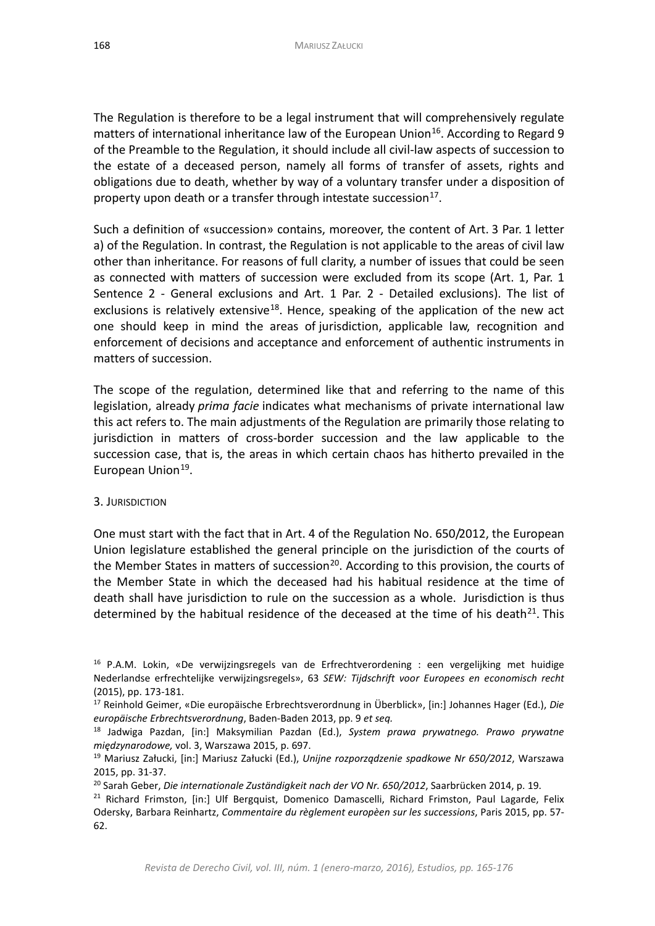The Regulation is therefore to be a legal instrument that will comprehensively regulate matters of international inheritance law of the European Union<sup>16</sup>. According to Regard 9 of the Preamble to the Regulation, it should include all civil-law aspects of succession to the estate of a deceased person, namely all forms of transfer of assets, rights and obligations due to death, whether by way of a voluntary transfer under a disposition of property upon death or a transfer through intestate succession $17$ .

Such a definition of «succession» contains, moreover, the content of Art. 3 Par. 1 letter a) of the Regulation. In contrast, the Regulation is not applicable to the areas of civil law other than inheritance. For reasons of full clarity, a number of issues that could be seen as connected with matters of succession were excluded from its scope (Art. 1, Par. 1 Sentence 2 - General exclusions and Art. 1 Par. 2 - Detailed exclusions). The list of exclusions is relatively extensive<sup>18</sup>. Hence, speaking of the application of the new act one should keep in mind the areas of jurisdiction, applicable law, recognition and enforcement of decisions and acceptance and enforcement of authentic instruments in matters of succession.

The scope of the regulation, determined like that and referring to the name of this legislation, already *prima facie* indicates what mechanisms of private international law this act refers to. The main adjustments of the Regulation are primarily those relating to jurisdiction in matters of cross-border succession and the law applicable to the succession case, that is, the areas in which certain chaos has hitherto prevailed in the European Union<sup>[19](#page-3-3)</sup>.

## 3. JURISDICTION

One must start with the fact that in Art. 4 of the Regulation No. 650/2012, the European Union legislature established the general principle on the jurisdiction of the courts of the Member States in matters of succession<sup>[20](#page-3-4)</sup>. According to this provision, the courts of the Member State in which the deceased had his habitual residence at the time of death shall have jurisdiction to rule on the succession as a whole. Jurisdiction is thus determined by the habitual residence of the deceased at the time of his death<sup>21</sup>. This

<span id="page-3-0"></span><sup>&</sup>lt;sup>16</sup> P.A.M. Lokin, «De verwijzingsregels van de Erfrechtverordening : een vergelijking met huidige Nederlandse erfrechtelijke verwijzingsregels», 63 *SEW: Tijdschrift voor Europees en economisch recht*  (2015), pp. 173-181.

<span id="page-3-1"></span><sup>17</sup> Reinhold Geimer, «Die europäische Erbrechtsverordnung in Überblick», [in:] Johannes Hager (Ed.), *Die europäische Erbrechtsverordnung*, Baden-Baden 2013, pp. 9 *et seq.*

<span id="page-3-2"></span><sup>18</sup> Jadwiga Pazdan, [in:] Maksymilian Pazdan (Ed.), *System prawa prywatnego. Prawo prywatne międzynarodowe,* vol. 3, Warszawa 2015, p. 697.

<span id="page-3-3"></span><sup>19</sup> Mariusz Załucki, [in:] Mariusz Załucki (Ed.), *Unijne rozporządzenie spadkowe Nr 650/2012*, Warszawa 2015, pp. 31-37.

<span id="page-3-4"></span><sup>20</sup> Sarah Geber, *Die internationale Zuständigkeit nach der VO Nr. 650/2012*, Saarbrücken 2014, p. 19.

<span id="page-3-5"></span><sup>&</sup>lt;sup>21</sup> Richard Frimston, [in:] Ulf Bergquist, Domenico Damascelli, Richard Frimston, Paul Lagarde, Felix Odersky, Barbara Reinhartz, *Commentaire du règlement europèen sur les successions*, Paris 2015, pp. 57- 62.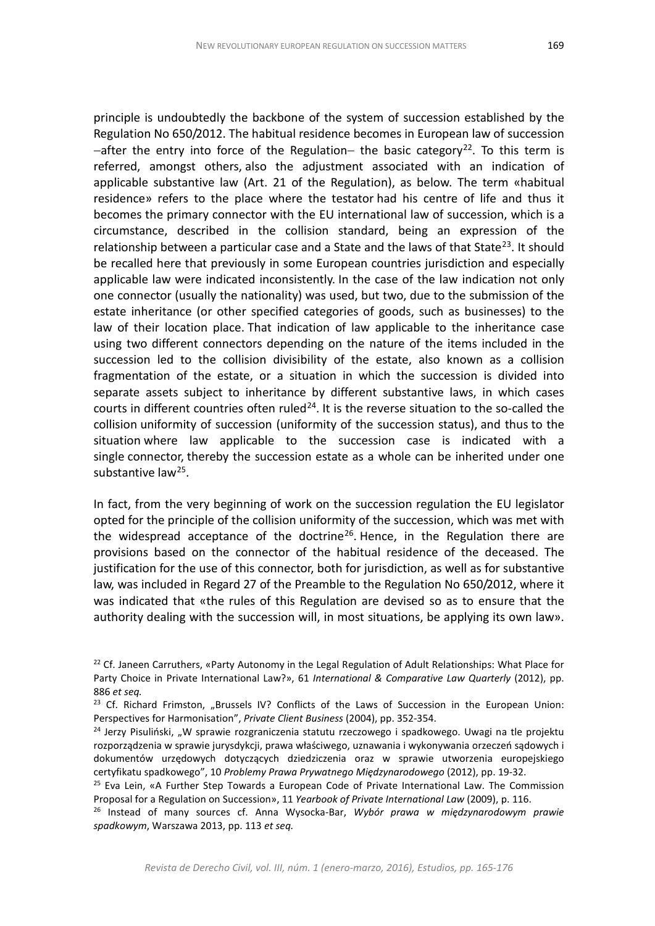principle is undoubtedly the backbone of the system of succession established by the Regulation No 650/2012. The habitual residence becomes in European law of succession  $-\alpha$  -after the entry into force of the Regulation– the basic category<sup>[22](#page-4-0)</sup>. To this term is referred, amongst others, also the adjustment associated with an indication of applicable substantive law (Art. 21 of the Regulation), as below. The term «habitual residence» refers to the place where the testator had his centre of life and thus it becomes the primary connector with the EU international law of succession, which is a circumstance, described in the collision standard, being an expression of the relationship between a particular case and a State and the laws of that State<sup>23</sup>. It should be recalled here that previously in some European countries jurisdiction and especially applicable law were indicated inconsistently. In the case of the law indication not only one connector (usually the nationality) was used, but two, due to the submission of the estate inheritance (or other specified categories of goods, such as businesses) to the law of their location place. That indication of law applicable to the inheritance case using two different connectors depending on the nature of the items included in the succession led to the collision divisibility of the estate, also known as a collision fragmentation of the estate, or a situation in which the succession is divided into separate assets subject to inheritance by different substantive laws, in which cases courts in different countries often ruled<sup>[24](#page-4-2)</sup>. It is the reverse situation to the so-called the collision uniformity of succession (uniformity of the succession status), and thus to the situation where law applicable to the succession case is indicated with a single connector, thereby the succession estate as a whole can be inherited under one substantive law<sup>[25](#page-4-3)</sup>.

In fact, from the very beginning of work on the succession regulation the EU legislator opted for the principle of the collision uniformity of the succession, which was met with the widespread acceptance of the doctrine<sup>[26](#page-4-4)</sup>. Hence, in the Regulation there are provisions based on the connector of the habitual residence of the deceased. The justification for the use of this connector, both for jurisdiction, as well as for substantive law, was included in Regard 27 of the Preamble to the Regulation No 650/2012, where it was indicated that «the rules of this Regulation are devised so as to ensure that the authority dealing with the succession will, in most situations, be applying its own law».

<span id="page-4-0"></span><sup>&</sup>lt;sup>22</sup> Cf. Janeen Carruthers, «Party Autonomy in the Legal Regulation of Adult Relationships: What Place for Party Choice in Private International Law?», 61 *International & Comparative Law Quarterly* (2012), pp. 886 *et seq.*

<span id="page-4-1"></span> $23$  Cf. Richard Frimston, "Brussels IV? Conflicts of the Laws of Succession in the European Union: Perspectives for Harmonisation", *Private Client Business* (2004), pp. 352-354.

<span id="page-4-2"></span><sup>&</sup>lt;sup>24</sup> Jerzy Pisuliński, "W sprawie rozgraniczenia statutu rzeczowego i spadkowego. Uwagi na tle projektu rozporządzenia w sprawie jurysdykcji, prawa właściwego, uznawania i wykonywania orzeczeń sądowych i dokumentów urzędowych dotyczących dziedziczenia oraz w sprawie utworzenia europejskiego certyfikatu spadkowego", 10 *Problemy Prawa Prywatnego Międzynarodowego* (2012), pp. 19-32.

<span id="page-4-3"></span><sup>&</sup>lt;sup>25</sup> Eva Lein, «A Further Step Towards a European Code of Private International Law. The Commission Proposal for a Regulation on Succession», 11 *Yearbook of Private International Law* (2009), p. 116.

<span id="page-4-4"></span><sup>26</sup> Instead of many sources cf. Anna Wysocka-Bar, *Wybór prawa w międzynarodowym prawie spadkowym*, Warszawa 2013, pp. 113 *et seq.*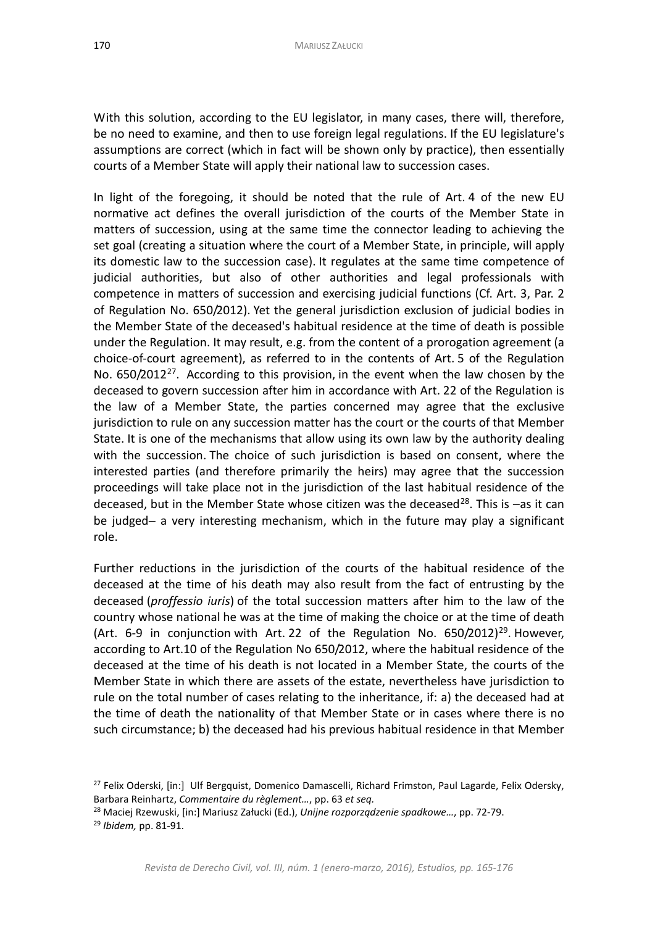assumptions are correct (which in fact will be shown only by practice), then essentially

With this solution, according to the EU legislator, in many cases, there will, therefore, be no need to examine, and then to use foreign legal regulations. If the EU legislature's

courts of a Member State will apply their national law to succession cases.

In light of the foregoing, it should be noted that the rule of Art. 4 of the new EU normative act defines the overall jurisdiction of the courts of the Member State in matters of succession, using at the same time the connector leading to achieving the set goal (creating a situation where the court of a Member State, in principle, will apply its domestic law to the succession case). It regulates at the same time competence of judicial authorities, but also of other authorities and legal professionals with competence in matters of succession and exercising judicial functions (Cf. Art. 3, Par. 2 of Regulation No. 650/2012). Yet the general jurisdiction exclusion of judicial bodies in the Member State of the deceased's habitual residence at the time of death is possible under the Regulation. It may result, e.g. from the content of a prorogation agreement (a choice-of-court agreement), as referred to in the contents of Art. 5 of the Regulation No.  $650/2012^{27}$  $650/2012^{27}$  $650/2012^{27}$ . According to this provision, in the event when the law chosen by the deceased to govern succession after him in accordance with Art. 22 of the Regulation is the law of a Member State, the parties concerned may agree that the exclusive jurisdiction to rule on any succession matter has the court or the courts of that Member State. It is one of the mechanisms that allow using its own law by the authority dealing with the succession. The choice of such jurisdiction is based on consent, where the interested parties (and therefore primarily the heirs) may agree that the succession proceedings will take place not in the jurisdiction of the last habitual residence of the deceased, but in the Member State whose citizen was the deceased<sup>28</sup>. This is −as it can be judged− a very interesting mechanism, which in the future may play a significant role.

Further reductions in the jurisdiction of the courts of the habitual residence of the deceased at the time of his death may also result from the fact of entrusting by the deceased (*proffessio iuris*) of the total succession matters after him to the law of the country whose national he was at the time of making the choice or at the time of death (Art. 6-9 in conjunction with Art. 22 of the Regulation No.  $650/2012$ <sup>29</sup>. However, according to Art.10 of the Regulation No 650/2012, where the habitual residence of the deceased at the time of his death is not located in a Member State, the courts of the Member State in which there are assets of the estate, nevertheless have jurisdiction to rule on the total number of cases relating to the inheritance, if: a) the deceased had at the time of death the nationality of that Member State or in cases where there is no such circumstance; b) the deceased had his previous habitual residence in that Member

<span id="page-5-0"></span><sup>&</sup>lt;sup>27</sup> Felix Oderski, [in:] Ulf Bergquist, Domenico Damascelli, Richard Frimston, Paul Lagarde, Felix Odersky, Barbara Reinhartz, *Commentaire du règlement…*, pp. 63 *et seq.*

<span id="page-5-2"></span><span id="page-5-1"></span><sup>28</sup> Maciej Rzewuski, [in:] Mariusz Załucki (Ed.), *Unijne rozporządzenie spadkowe…*, pp. 72-79. <sup>29</sup> *Ibidem,* pp. 81-91.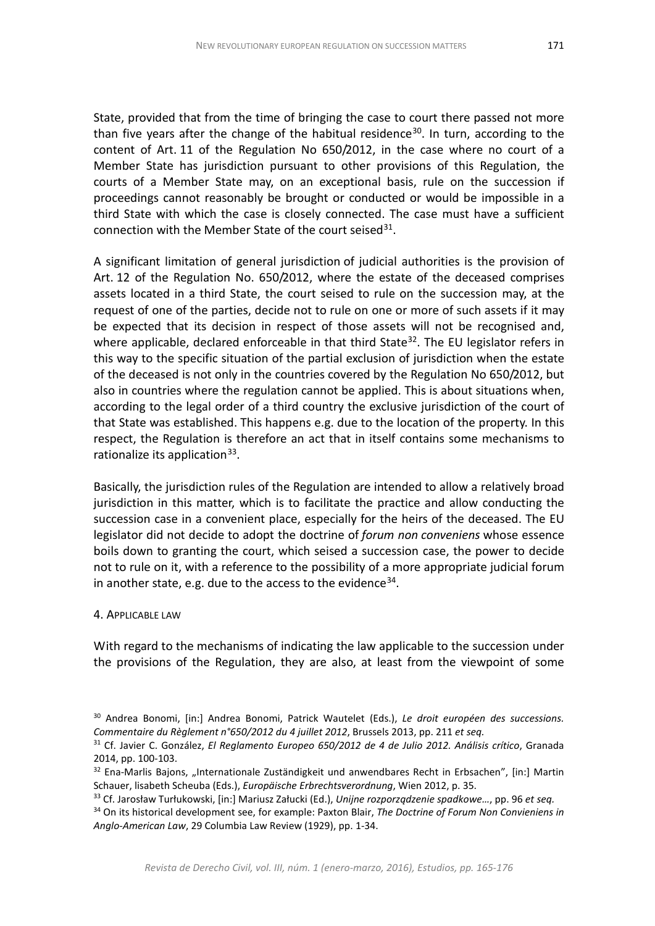State, provided that from the time of bringing the case to court there passed not more than five years after the change of the habitual residence<sup>[30](#page-6-0)</sup>. In turn, according to the content of Art. 11 of the Regulation No 650/2012, in the case where no court of a Member State has jurisdiction pursuant to other provisions of this Regulation, the courts of a Member State may, on an exceptional basis, rule on the succession if proceedings cannot reasonably be brought or conducted or would be impossible in a third State with which the case is closely connected. The case must have a sufficient connection with the Member State of the court seised $31$ .

A significant limitation of general jurisdiction of judicial authorities is the provision of Art. 12 of the Regulation No. 650/2012, where the estate of the deceased comprises assets located in a third State, the court seised to rule on the succession may, at the request of one of the parties, decide not to rule on one or more of such assets if it may be expected that its decision in respect of those assets will not be recognised and, where applicable, declared enforceable in that third State<sup>[32](#page-6-2)</sup>. The EU legislator refers in this way to the specific situation of the partial exclusion of jurisdiction when the estate of the deceased is not only in the countries covered by the Regulation No 650/2012, but also in countries where the regulation cannot be applied. This is about situations when, according to the legal order of a third country the exclusive jurisdiction of the court of that State was established. This happens e.g. due to the location of the property. In this respect, the Regulation is therefore an act that in itself contains some mechanisms to rationalize its application $33$ .

Basically, the jurisdiction rules of the Regulation are intended to allow a relatively broad jurisdiction in this matter, which is to facilitate the practice and allow conducting the succession case in a convenient place, especially for the heirs of the deceased. The EU legislator did not decide to adopt the doctrine of *forum non conveniens* whose essence boils down to granting the court, which seised a succession case, the power to decide not to rule on it, with a reference to the possibility of a more appropriate judicial forum in another state, e.g. due to the access to the evidence  $34$ .

## 4. APPLICABLE LAW

With regard to the mechanisms of indicating the law applicable to the succession under the provisions of the Regulation, they are also, at least from the viewpoint of some

<span id="page-6-0"></span><sup>30</sup> Andrea Bonomi, [in:] Andrea Bonomi, Patrick Wautelet (Eds.), *Le droit européen des successions. Commentaire du Règlement n°650/2012 du 4 juillet 2012*, Brussels 2013, pp. 211 *et seq.*

<span id="page-6-1"></span><sup>31</sup> Cf. Javier C. González, *El Reglamento Europeo 650/2012 de 4 de Julio 2012. Análisis crítico*, Granada 2014, pp. 100-103.

<span id="page-6-2"></span> $32$  Ena-Marlis Bajons, "Internationale Zuständigkeit und anwendbares Recht in Erbsachen", [in:] Martin Schauer, lisabeth Scheuba (Eds.), *Europäische Erbrechtsverordnung*, Wien 2012, p. 35.

<span id="page-6-3"></span><sup>33</sup> Cf. Jarosław Turłukowski, [in:] Mariusz Załucki (Ed.), *Unijne rozporządzenie spadkowe…*, pp. 96 *et seq.*

<span id="page-6-4"></span><sup>34</sup> On its historical development see, for example: Paxton Blair, *The Doctrine of Forum Non Convieniens in Anglo-American Law*, 29 Columbia Law Review (1929), pp. 1-34.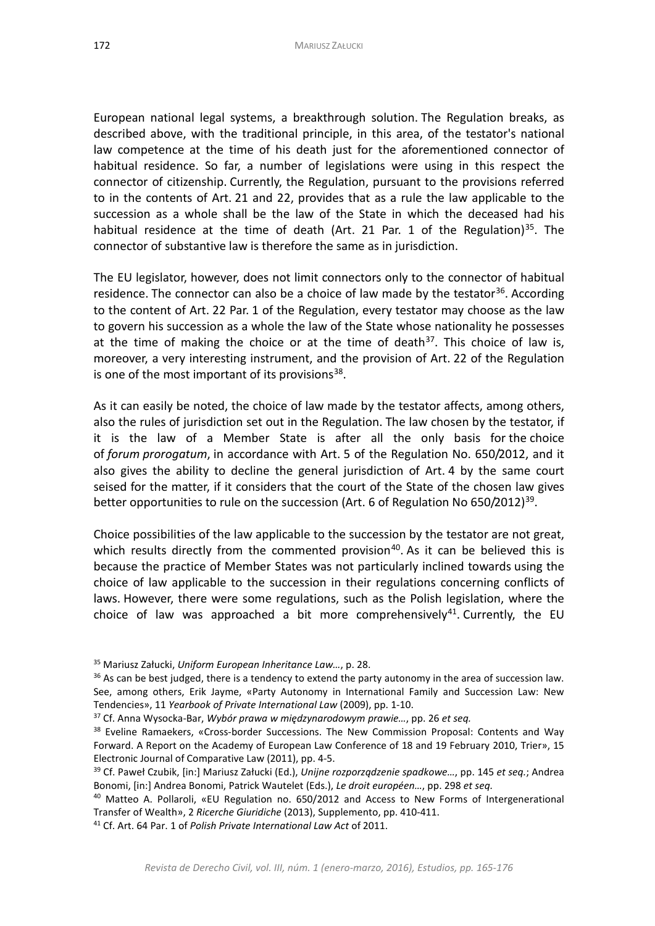European national legal systems, a breakthrough solution. The Regulation breaks, as described above, with the traditional principle, in this area, of the testator's national law competence at the time of his death just for the aforementioned connector of habitual residence. So far, a number of legislations were using in this respect the connector of citizenship. Currently, the Regulation, pursuant to the provisions referred to in the contents of Art. 21 and 22, provides that as a rule the law applicable to the succession as a whole shall be the law of the State in which the deceased had his habitual residence at the time of death (Art. 21 Par. 1 of the Regulation)<sup>35</sup>. The connector of substantive law is therefore the same as in jurisdiction.

The EU legislator, however, does not limit connectors only to the connector of habitual residence. The connector can also be a choice of law made by the testator<sup>[36](#page-7-1)</sup>. According to the content of Art. 22 Par. 1 of the Regulation, every testator may choose as the law to govern his succession as a whole the law of the State whose nationality he possesses at the time of making the choice or at the time of death<sup>[37](#page-7-2)</sup>. This choice of law is, moreover, a very interesting instrument, and the provision of Art. 22 of the Regulation is one of the most important of its provisions $38$ .

As it can easily be noted, the choice of law made by the testator affects, among others, also the rules of jurisdiction set out in the Regulation. The law chosen by the testator, if it is the law of a Member State is after all the only basis for the choice of *forum prorogatum*, in accordance with Art. 5 of the Regulation No. 650/2012, and it also gives the ability to decline the general jurisdiction of Art. 4 by the same court seised for the matter, if it considers that the court of the State of the chosen law gives better opportunities to rule on the succession (Art. 6 of Regulation No 650/2012)<sup>39</sup>.

Choice possibilities of the law applicable to the succession by the testator are not great, which results directly from the commented provision<sup>40</sup>. As it can be believed this is because the practice of Member States was not particularly inclined towards using the choice of law applicable to the succession in their regulations concerning conflicts of laws. However, there were some regulations, such as the Polish legislation, where the choice of law was approached a bit more comprehensively<sup>[41](#page-7-6)</sup>. Currently, the EU

<span id="page-7-0"></span><sup>35</sup> Mariusz Załucki, *Uniform European Inheritance Law…*, p. 28.

<span id="page-7-1"></span><sup>&</sup>lt;sup>36</sup> As can be best judged, there is a tendency to extend the party autonomy in the area of succession law. See, among others, Erik Jayme, «Party Autonomy in International Family and Succession Law: New Tendencies», 11 *Yearbook of Private International Law* (2009), pp. 1-10.

<span id="page-7-2"></span><sup>37</sup> Cf. Anna Wysocka-Bar, *Wybór prawa w międzynarodowym prawie…*, pp. 26 *et seq.*

<span id="page-7-3"></span><sup>&</sup>lt;sup>38</sup> Eveline Ramaekers, «Cross-border Successions. The New Commission Proposal: Contents and Way Forward. A Report on the Academy of European Law Conference of 18 and 19 February 2010, Trier», 15 Electronic Journal of Comparative Law (2011), pp. 4-5.

<span id="page-7-4"></span><sup>39</sup> Cf. Paweł Czubik, [in:] Mariusz Załucki (Ed.), *Unijne rozporządzenie spadkowe…*, pp. 145 *et seq.*; Andrea Bonomi, [in:] Andrea Bonomi, Patrick Wautelet (Eds.), *Le droit européen…*, pp. 298 *et seq.*

<span id="page-7-5"></span><sup>40</sup> Matteo A. Pollaroli, «EU Regulation no. 650/2012 and Access to New Forms of Intergenerational Transfer of Wealth», 2 *Ricerche Giuridiche* (2013), Supplemento, pp. 410-411.

<span id="page-7-6"></span><sup>41</sup> Cf. Art. 64 Par. 1 of *Polish Private International Law Act* of 2011.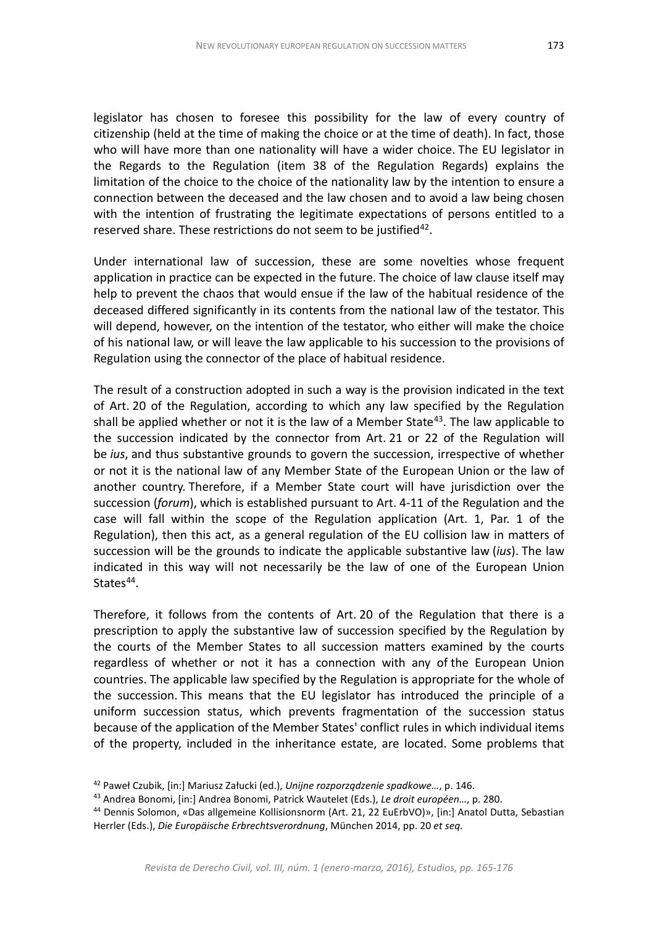legislator has chosen to foresee this possibility for the law of every country of citizenship (held at the time of making the choice or at the time of death). In fact, those who will have more than one nationality will have a wider choice. The EU legislator in the Regards to the Regulation (item 38 of the Regulation Regards) explains the limitation of the choice to the choice of the nationality law by the intention to ensure a connection between the deceased and the law chosen and to avoid a law being chosen with the intention of frustrating the legitimate expectations of persons entitled to a reserved share. These restrictions do not seem to be justified<sup>[42](#page-8-0)</sup>.

Under international law of succession, these are some novelties whose frequent application in practice can be expected in the future. The choice of law clause itself may help to prevent the chaos that would ensue if the law of the habitual residence of the deceased differed significantly in its contents from the national law of the testator. This will depend, however, on the intention of the testator, who either will make the choice of his national law, or will leave the law applicable to his succession to the provisions of Regulation using the connector of the place of habitual residence.

The result of a construction adopted in such a way is the provision indicated in the text of Art. 20 of the Regulation, according to which any law specified by the Regulation shall be applied whether or not it is the law of a Member State $43$ . The law applicable to the succession indicated by the connector from Art. 21 or 22 of the Regulation will be *ius*, and thus substantive grounds to govern the succession, irrespective of whether or not it is the national law of any Member State of the European Union or the law of another country. Therefore, if a Member State court will have jurisdiction over the succession (*forum*), which is established pursuant to Art. 4-11 of the Regulation and the case will fall within the scope of the Regulation application (Art. 1, Par. 1 of the Regulation), then this act, as a general regulation of the EU collision law in matters of succession will be the grounds to indicate the applicable substantive law (*ius*). The law indicated in this way will not necessarily be the law of one of the European Union States<sup>[44](#page-8-2)</sup>.

Therefore, it follows from the contents of Art. 20 of the Regulation that there is a prescription to apply the substantive law of succession specified by the Regulation by the courts of the Member States to all succession matters examined by the courts regardless of whether or not it has a connection with any of the European Union countries. The applicable law specified by the Regulation is appropriate for the whole of the succession. This means that the EU legislator has introduced the principle of a uniform succession status, which prevents fragmentation of the succession status because of the application of the Member States' conflict rules in which individual items of the property, included in the inheritance estate, are located. Some problems that

<span id="page-8-0"></span><sup>42</sup> Paweł Czubik, [in:] Mariusz Załucki (ed.), *Unijne rozporządzenie spadkowe…*, p. 146.

<span id="page-8-1"></span><sup>43</sup> Andrea Bonomi, [in:] Andrea Bonomi, Patrick Wautelet (Eds.), *Le droit européen…*, p. 280.

<span id="page-8-2"></span><sup>44</sup> Dennis Solomon, «Das allgemeine Kollisionsnorm (Art. 21, 22 EuErbVO)», [in:] Anatol Dutta, Sebastian Herrler (Eds.), *Die Europäische Erbrechtsverordnung*, München 2014, pp. 20 *et seq.*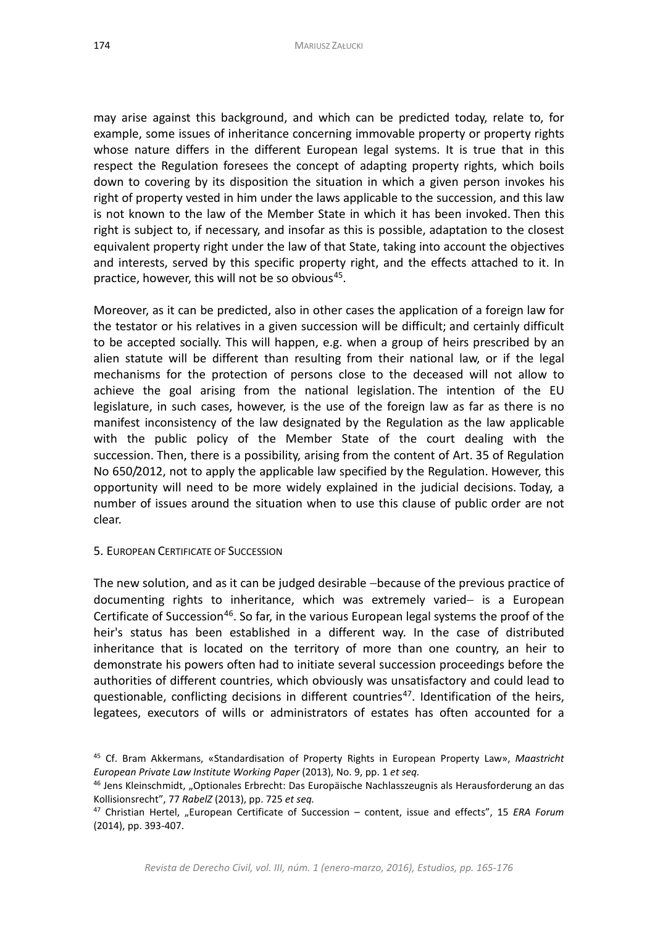may arise against this background, and which can be predicted today, relate to, for example, some issues of inheritance concerning immovable property or property rights whose nature differs in the different European legal systems. It is true that in this respect the Regulation foresees the concept of adapting property rights, which boils down to covering by its disposition the situation in which a given person invokes his right of property vested in him under the laws applicable to the succession, and this law is not known to the law of the Member State in which it has been invoked. Then this right is subject to, if necessary, and insofar as this is possible, adaptation to the closest equivalent property right under the law of that State, taking into account the objectives and interests, served by this specific property right, and the effects attached to it. In practice, however, this will not be so obvious<sup>45</sup>.

Moreover, as it can be predicted, also in other cases the application of a foreign law for the testator or his relatives in a given succession will be difficult; and certainly difficult to be accepted socially. This will happen, e.g. when a group of heirs prescribed by an alien statute will be different than resulting from their national law, or if the legal mechanisms for the protection of persons close to the deceased will not allow to achieve the goal arising from the national legislation. The intention of the EU legislature, in such cases, however, is the use of the foreign law as far as there is no manifest inconsistency of the law designated by the Regulation as the law applicable with the public policy of the Member State of the court dealing with the succession. Then, there is a possibility, arising from the content of Art. 35 of Regulation No 650/2012, not to apply the applicable law specified by the Regulation. However, this opportunity will need to be more widely explained in the judicial decisions. Today, a number of issues around the situation when to use this clause of public order are not clear.

5. EUROPEAN CERTIFICATE OF SUCCESSION

The new solution, and as it can be judged desirable –because of the previous practice of documenting rights to inheritance, which was extremely varied− is a European Certificate of Succession<sup>[46](#page-9-1)</sup>. So far, in the various European legal systems the proof of the heir's status has been established in a different way. In the case of distributed inheritance that is located on the territory of more than one country, an heir to demonstrate his powers often had to initiate several succession proceedings before the authorities of different countries, which obviously was unsatisfactory and could lead to questionable, conflicting decisions in different countries<sup>[47](#page-9-2)</sup>. Identification of the heirs, legatees, executors of wills or administrators of estates has often accounted for a

<span id="page-9-0"></span><sup>45</sup> Cf. Bram Akkermans, «Standardisation of Property Rights in European Property Law», *Maastricht European Private Law Institute Working Paper* (2013), No. 9, pp. 1 *et seq.*

<span id="page-9-1"></span><sup>46</sup> Jens Kleinschmidt, "Optionales Erbrecht: Das Europäische Nachlasszeugnis als Herausforderung an das Kollisionsrecht", 77 *RabelZ* (2013), pp. 725 *et seq.*

<span id="page-9-2"></span><sup>&</sup>lt;sup>47</sup> Christian Hertel, "European Certificate of Succession – content, issue and effects", 15 *ERA Forum* (2014), pp. 393-407.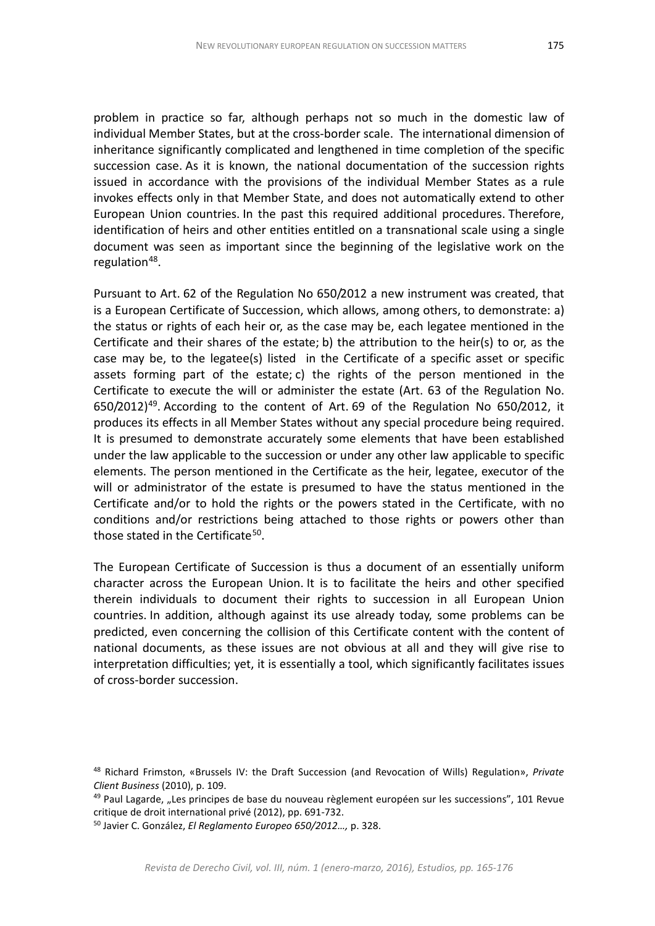problem in practice so far, although perhaps not so much in the domestic law of individual Member States, but at the cross-border scale. The international dimension of inheritance significantly complicated and lengthened in time completion of the specific succession case. As it is known, the national documentation of the succession rights issued in accordance with the provisions of the individual Member States as a rule invokes effects only in that Member State, and does not automatically extend to other European Union countries. In the past this required additional procedures. Therefore, identification of heirs and other entities entitled on a transnational scale using a single document was seen as important since the beginning of the legislative work on the regulation<sup>48</sup>.

Pursuant to Art. 62 of the Regulation No 650/2012 a new instrument was created, that is a European Certificate of Succession, which allows, among others, to demonstrate: a) the status or rights of each heir or, as the case may be, each legatee mentioned in the Certificate and their shares of the estate; b) the attribution to the heir(s) to or, as the case may be, to the legatee(s) listed in the Certificate of a specific asset or specific assets forming part of the estate; c) the rights of the person mentioned in the Certificate to execute the will or administer the estate (Art. 63 of the Regulation No.  $650/2012$ <sup>[49](#page-10-1)</sup>. According to the content of Art. 69 of the Regulation No  $650/2012$ , it produces its effects in all Member States without any special procedure being required. It is presumed to demonstrate accurately some elements that have been established under the law applicable to the succession or under any other law applicable to specific elements. The person mentioned in the Certificate as the heir, legatee, executor of the will or administrator of the estate is presumed to have the status mentioned in the Certificate and/or to hold the rights or the powers stated in the Certificate, with no conditions and/or restrictions being attached to those rights or powers other than those stated in the Certificate<sup>50</sup>.

The European Certificate of Succession is thus a document of an essentially uniform character across the European Union. It is to facilitate the heirs and other specified therein individuals to document their rights to succession in all European Union countries. In addition, although against its use already today, some problems can be predicted, even concerning the collision of this Certificate content with the content of national documents, as these issues are not obvious at all and they will give rise to interpretation difficulties; yet, it is essentially a tool, which significantly facilitates issues of cross-border succession.

<span id="page-10-0"></span><sup>48</sup> Richard Frimston, «Brussels IV: the Draft Succession (and Revocation of Wills) Regulation», *Private Client Business* (2010), p. 109.

<span id="page-10-1"></span> $49$  Paul Lagarde, "Les principes de base du nouveau règlement européen sur les successions", 101 Revue critique de droit international privé (2012), pp. 691-732.

<span id="page-10-2"></span><sup>50</sup> Javier C. González, *El Reglamento Europeo 650/2012…,* p. 328.